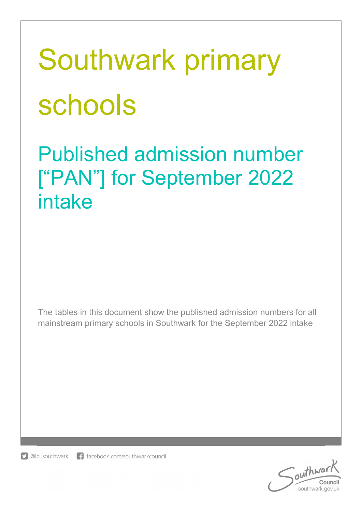# Southwark primary schools

Published admission number ["PAN"] for September 2022 intake

The tables in this document show the published admission numbers for all mainstream primary schools in Southwark for the September 2022 intake



outhwar southwark.gov.uk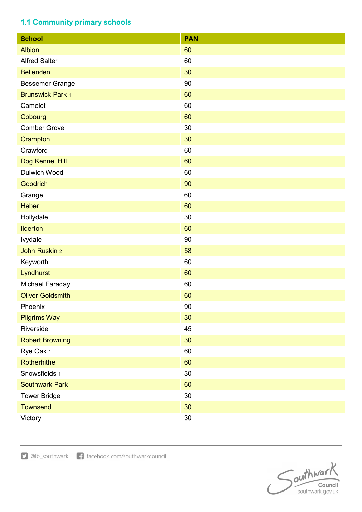## 1.1 Community primary schools

| <b>School</b>           | <b>PAN</b> |
|-------------------------|------------|
| <b>Albion</b>           | 60         |
| <b>Alfred Salter</b>    | 60         |
| <b>Bellenden</b>        | 30         |
| <b>Bessemer Grange</b>  | 90         |
| <b>Brunswick Park 1</b> | 60         |
| Camelot                 | 60         |
| Cobourg                 | 60         |
| <b>Comber Grove</b>     | 30         |
| Crampton                | 30         |
| Crawford                | 60         |
| Dog Kennel Hill         | 60         |
| Dulwich Wood            | 60         |
| <b>Goodrich</b>         | 90         |
| Grange                  | 60         |
| <b>Heber</b>            | 60         |
| Hollydale               | 30         |
| <b>Ilderton</b>         | 60         |
| lvydale                 | 90         |
| John Ruskin 2           | 58         |
| Keyworth                | 60         |
| Lyndhurst               | 60         |
| Michael Faraday         | 60         |
| <b>Oliver Goldsmith</b> | 60         |
| Phoenix                 | 90         |
| <b>Pilgrims Way</b>     | 30         |
| Riverside               | 45         |
| <b>Robert Browning</b>  | 30         |
| Rye Oak 1               | 60         |
| Rotherhithe             | 60         |
| Snowsfields 1           | 30         |
| <b>Southwark Park</b>   | 60         |
| <b>Tower Bridge</b>     | 30         |
| <b>Townsend</b>         | 30         |
| Victory                 | $30\,$     |

Southwar **Council**<br>southwark.gov.uk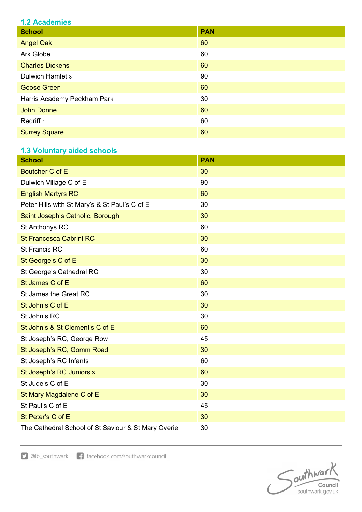| <u>is rougoingo</u>         |            |  |
|-----------------------------|------------|--|
| <b>School</b>               | <b>PAN</b> |  |
| <b>Angel Oak</b>            | 60         |  |
| Ark Globe                   | 60         |  |
| <b>Charles Dickens</b>      | 60         |  |
| Dulwich Hamlet 3            | 90         |  |
| <b>Goose Green</b>          | 60         |  |
| Harris Academy Peckham Park | 30         |  |
| <b>John Donne</b>           | 60         |  |
| Redriff <sub>1</sub>        | 60         |  |
| <b>Surrey Square</b>        | 60         |  |

### 1.3 Voluntary aided schools

| <b>School</b>                                       | <b>PAN</b> |
|-----------------------------------------------------|------------|
| <b>Boutcher C of E</b>                              | 30         |
| Dulwich Village C of E                              | 90         |
| <b>English Martyrs RC</b>                           | 60         |
| Peter Hills with St Mary's & St Paul's C of E       | 30         |
| Saint Joseph's Catholic, Borough                    | 30         |
| St Anthonys RC                                      | 60         |
| St Francesca Cabrini RC                             | 30         |
| <b>St Francis RC</b>                                | 60         |
| St George's C of E                                  | 30         |
| St George's Cathedral RC                            | 30         |
| St James C of E                                     | 60         |
| St James the Great RC                               | 30         |
| St John's C of E                                    | 30         |
| St John's RC                                        | 30         |
| St John's & St Clement's C of E                     | 60         |
| St Joseph's RC, George Row                          | 45         |
| St Joseph's RC, Gomm Road                           | 30         |
| St Joseph's RC Infants                              | 60         |
| St Joseph's RC Juniors 3                            | 60         |
| St Jude's C of E                                    | 30         |
| St Mary Magdalene C of E                            | 30         |
| St Paul's C of E                                    | 45         |
| St Peter's C of E                                   | 30         |
| The Cathedral School of St Saviour & St Mary Overie | 30         |

D @lb\_southwark f facebook.com/southwarkcouncil

Southward **Council**<br>southwark.gov.uk